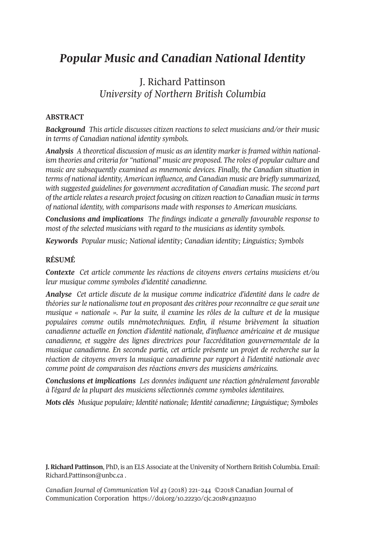# *Popular Music and Canadian National Identity*

# J. Richard Pattinson *University of Northern British Columbia*

#### **ABSTRACT**

*Background This article discusses citizen reactions to select musicians and/or their music in terms of Canadian national identity symbols.*

*Analysis A theoretical discussion of music as an identity marker is framed within nationalism theories and criteria for "national" music are proposed. The roles of popular culture and music are subsequently examined as mnemonic devices. Finally, the Canadian situation in terms of national identity, American influence, and Canadian music are briefly summarized, with suggested guidelines for government accreditation of Canadian music. The second part of the article relates a research project focusing on citizen reaction to Canadian music in terms of national identity, with comparisons made with responses to American musicians.*

*Conclusions and implications The findings indicate a generally favourable response to most of the selected musicians with regard to the musicians as identity symbols.*

*Keywords Popular music; National identity; Canadian identity; Linguistics; Symbols*

## **RÉSUMÉ**

*Contexte Cet article commente les réactions de citoyens envers certains musiciens et/ou leur musique comme symboles d'identité canadienne.*

*Analyse Cet article discute de la musique comme indicatrice d'identité dans le cadre de théoriessurle nationalisme tout en proposant des critères pourreconnaître ce que serait une musique « nationale ». Par la suite, il examine les rôles de la culture et de la musique populaires comme outils mnémotechniques. Enfin, il résume brièvement la situation canadienne actuelle en fonction d'identité nationale, d'influence américaine et de musique canadienne, et suggère des lignes directrices pour l'accréditation gouvernementale de la musique canadienne. En seconde partie, cet article présente un projet de recherche sur la réaction de citoyens envers la musique canadienne par rapport à l'identité nationale avec comme point de comparaison des réactions envers des musiciens américains.*

*Conclusions et implications Les données indiquent une réaction généralement favorable à l'égard de la plupart des musiciens sélectionnés comme symboles identitaires.*

*Mots clés Musique populaire; Identité nationale; Identité canadienne; Linguistique; Symboles*

**J. Richard Pattinson**, PhD, is an ELS Associate at the University of Northern British Columbia. Email: [Richard.Pattinson@unbc.ca](mailto:richard.Pattinson@unbc.ca) .

*Canadian Journal of [Communication](http://www.cjc-online.ca) Vol 43* (2018) 221–244 ©2018 Canadian Journal of Communication Corporation <https://doi.org/10.22230/cjc.2018v43n2a3110>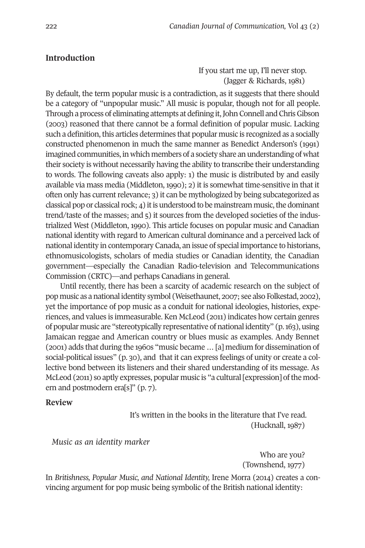# **Introduction**

If you start me up, I'll never stop. (Jagger & Richards, 1981)

By default, the term popular music is a contradiction, as it suggests that there should be a category of "unpopular music." All music is popular, though not for all people. Through a process of eliminating attempts at defining it,JohnConnell andChrisGibson (2003) reasoned that there cannot be a formal definition of popular music. Lacking such a definition, this articles determines that popular music is recognized as a socially constructed phenomenon in much the same manner as Benedict Anderson's (1991) imagined communities, in which members of a society share an understanding of what their society is without necessarily having the ability to transcribe their understanding to words. The following caveats also apply: 1) the music is distributed by and easily available via mass media (Middleton, 1990); 2) it is somewhat time-sensitive in that it often only has current relevance;  $3$ ) it can be mythologized by being subcategorized as classical pop or classical rock;  $4$ ) it is understood to be mainstream music, the dominant trend/taste of the masses; and 5) it sources from the developed societies of the industrialized West (Middleton, 1990). This article focuses on popular music and Canadian national identity with regard to American cultural dominance and a perceived lack of national identity in contemporary Canada, an issue of special importance to historians, ethnomusicologists, scholars of media studies or Canadian identity, the Canadian government—especially the Canadian Radio-television and Telecommunications Commission (CRTC)—and perhaps Canadians in general.

Until recently, there has been a scarcity of academic research on the subject of pop music as a national identity symbol (Weisethaunet, 2007; see also Folkestad, 2002), yet the importance of pop music as a conduit for national ideologies, histories, experiences, and values is immeasurable. Ken McLeod (2011) indicates how certain genres of popular music are "stereotypically representative of national identity" (p.163), using Jamaican reggae and American country or blues music as examples. Andy Bennet (2001) adds that during the 1960s "music became … [a] medium for dissemination of social-political issues" (p. 30), and that it can express feelings of unity or create a collective bond between its listeners and their shared understanding of its message. As McLeod (2011) so aptly expresses, popular music is "a cultural [expression] of the modern and postmodern era[s]" (p. 7).

#### **Review**

It's written in the books in the literature that I've read. (Hucknall, 1987)

*Music as an identity marker*

Who are you? (Townshend, 1977)

In *Britishness, Popular Music, and National Identity,* Irene Morra (2014) creates a convincing argument for pop music being symbolic of the British national identity: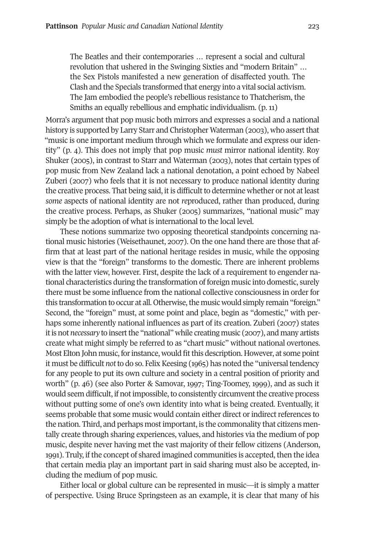The Beatles and their contemporaries … represent a social and cultural revolution that ushered in the Swinging Sixties and "modern Britain" … the Sex Pistols manifested a new generation of disaffected youth. The Clash and the Specials transformed that energy into a vital social activism. The Jam embodied the people's rebellious resistance to Thatcherism, the Smiths an equally rebellious and emphatic individualism. (p. 11)

Morra's argument that pop music both mirrors and expresses a social and a national history is supported by Larry Starr and Christopher Waterman (2003), who assertthat "music is one important medium through which we formulate and express our identity" (p. 4). This does not imply that pop music *must* mirror national identity. Roy Shuker (2005), in contrast to Starr and Waterman (2003), notes that certain types of pop music from New Zealand lack a national denotation, a point echoed by Nabeel Zuberi (2007) who feels that it is not necessary to produce national identity during the creative process. That being said, it is difficult to determine whether or not at least *some* aspects of national identity are not *re*produced, rather than produced, during the creative process. Perhaps, as Shuker (2005) summarizes, "national music" may simply be the adoption of what is international to the local level.

These notions summarize two opposing theoretical standpoints concerning national music histories (Weisethaunet, 2007). On the one hand there are those that affirm that at least part of the national heritage resides in music, while the opposing view is that the "foreign" transforms to the domestic. There are inherent problems with the latter view, however. First, despite the lack of a requirement to engender national characteristics during the transformation of foreign music into domestic, surely there must be some influence from the national collective consciousness in order for this transformation to occur at all. Otherwise, the music would simply remain "foreign." Second, the "foreign" must, at some point and place, begin as "domestic," with perhaps some inherently national influences as part of its creation. Zuberi (2007) states it is not *necessary* to insert the "national" while creating music (2007), and many artists create what might simply be referred to as "chart music" without national overtones. Most Elton John music, forinstance, would fitthis description. However, at some point it must be difficult *not* to do so. Felix Keesing (1965) has noted the "universal tendency for any people to put its own culture and society in a central position of priority and worth" (p. 46) (see also Porter & Samovar, 1997; Ting-Toomey, 1999), and as such it would seem difficult, if not impossible, to consistently circumvent the creative process without putting some of one's own identity into what is being created. Eventually, it seems probable that some music would contain either direct or indirect references to the nation. Third, and perhaps mostimportant, is the commonality that citizens mentally create through sharing experiences, values, and histories via the medium of pop music, despite never having met the vast majority of their fellow citizens (Anderson, 1991). Truly, if the concept of shared imagined communities is accepted, then the idea that certain media play an important part in said sharing must also be accepted, including the medium of pop music.

Either local or global culture can be represented in music—it is simply a matter of perspective. Using Bruce Springsteen as an example, it is clear that many of his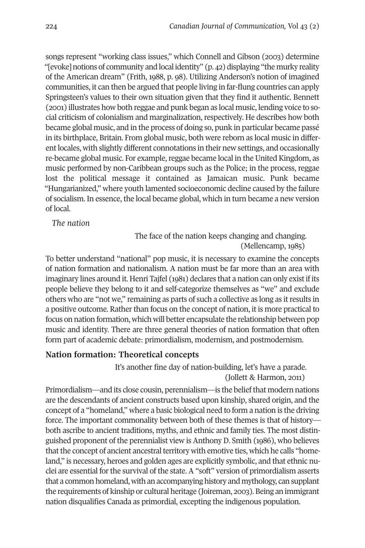songs represent "working class issues," which Connell and Gibson (2003) determine "[evoke] notions of community and local identity" (p. 42) displaying "the murky reality of the American dream" (Frith, 1988, p. 98). Utilizing Anderson's notion of imagined communities, it can then be argued that people living in far-flung countries can apply Springsteen's values to their own situation given that they find it authentic. Bennett (2001) illustrates how both reggae and punk began as local music, lending voice to social criticism of colonialism and marginalization, respectively. He describes how both became global music, and in the process of doing so, punk in particular became passé in its birthplace, Britain. From global music, both were reborn as local music in different locales, with slightly different connotations in their new settings, and occasionally re-became global music. For example, reggae became local in the United Kingdom, as music performed by non-Caribbean groups such as the Police; in the process, reggae lost the political message it contained as Jamaican music. Punk became "Hungarianized," where youth lamented socioeconomic decline caused by the failure of socialism. In essence, the local became global, which in turn became a new version of local.

*The nation*

The face of the nation keeps changing and changing. (Mellencamp, 1985)

To better understand "national" pop music, it is necessary to examine the concepts of nation formation and nationalism. A nation must be far more than an area with imaginary lines around it. Henri Tajfel (1981) declares that a nation can only existif its people believe they belong to it and self-categorize themselves as "we" and exclude others who are "not we," remaining as parts of such a collective as long as itresults in a positive outcome. Rather than focus on the concept of nation, it is more practical to focus on nation formation, which will better encapsulate the relationship between pop music and identity. There are three general theories of nation formation that often form part of academic debate: primordialism, modernism, and postmodernism.

# **Nation formation: Theoretical concepts**

It's another fine day of nation-building, let's have a parade. (Jollett & Harmon, 2011)

Primordialism—and its close cousin, perennialism—is the beliefthat modern nations are the descendants of ancient constructs based upon kinship, shared origin, and the concept of a "homeland," where a basic biological need to form a nation is the driving force. The important commonality between both of these themes is that of history both ascribe to ancient traditions, myths, and ethnic and family ties. The most distinguished proponent of the perennialist view is Anthony D. Smith (1986), who believes that the concept of ancient ancestral territory with emotive ties, which he calls "homeland," is necessary, heroes and golden ages are explicitly symbolic, and that ethnic nuclei are essential forthe survival of the state. A "soft" version of primordialism asserts that a common homeland, with an accompanying history and mythology, can supplant the requirements of kinship or cultural heritage (Joireman, 2003). Being an immigrant nation disqualifies Canada as primordial, excepting the indigenous population.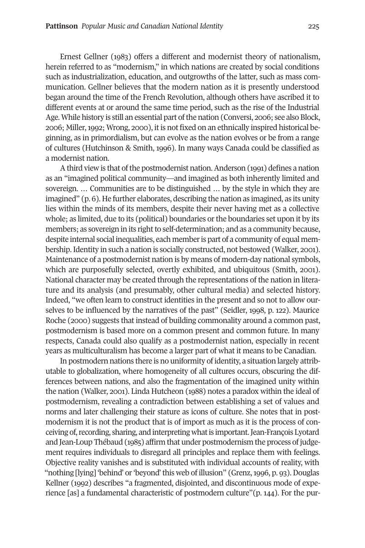Ernest Gellner (1983) offers a different and modernist theory of nationalism, herein referred to as "modernism," in which nations are created by social conditions such as industrialization, education, and outgrowths of the latter, such as mass communication. Gellner believes that the modern nation as it is presently understood began around the time of the French Revolution, although others have ascribed it to different events at or around the same time period, such as the rise of the Industrial Age. While history is still an essential part of the nation (Conversi, 2006; see also Block, 2006; Miller,1992; Wrong, 2000), it is not fixed on an ethnically inspired historical beginning, as in primordialism, but can evolve as the nation evolves or be from a range of cultures (Hutchinson & Smith, 1996). In many ways Canada could be classified as a modernist nation.

A third view is that of the postmodernist nation. Anderson (1991) defines a nation as an "imagined political community—and imagined as both inherently limited and sovereign. … Communities are to be distinguished … by the style in which they are imagined" (p. 6). He further elaborates, describing the nation as imagined, as its unity lies within the minds of its members, despite their never having met as a collective whole; as limited, due to its (political) boundaries or the boundaries set upon it by its members; as sovereign in its right to self-determination; and as a community because, despite internal social inequalities, each memberis part of a community of equal membership. Identity in such a nation is socially constructed, not bestowed (Walker, 2001). Maintenance of a postmodernist nation is by means of modern-day national symbols, which are purposefully selected, overtly exhibited, and ubiquitous (Smith, 2001). National character may be created through the representations of the nation in literature and its analysis (and presumably, other cultural media) and selected history. Indeed, "we often learn to construct identities in the present and so not to allow ourselves to be influenced by the narratives of the past" (Seidler, 1998, p. 122). Maurice Roche (2000) suggests that instead of building commonality around a common past, postmodernism is based more on a common present and common future. In many respects, Canada could also qualify as a postmodernist nation, especially in recent years as multiculturalism has become a larger part of what it means to be Canadian.

In postmodern nations there is no uniformity of identity, a situation largely attributable to globalization, where homogeneity of all cultures occurs, obscuring the differences between nations, and also the fragmentation of the imagined unity within the nation (Walker, 2001). Linda Hutcheon (1988) notes a paradox within the ideal of postmodernism, revealing a contradiction between establishing a set of values and norms and later challenging their stature as icons of culture. She notes that in postmodernism it is not the product that is of import as much as it is the process of conceiving of, recording, sharing, and interpreting what is important. Jean-François Lyotard and Jean-Loup Thébaud (1985) affirm that under postmodernism the process of judgement requires individuals to disregard all principles and replace them with feelings. Objective reality vanishes and is substituted with individual accounts of reality, with "nothing [lying] 'behind' or'beyond' this web of illusion" (Grenz,1996, p. 93). Douglas Kellner (1992) describes "a fragmented, disjointed, and discontinuous mode of experience [as] a fundamental characteristic of postmodern culture"(p. 144). For the pur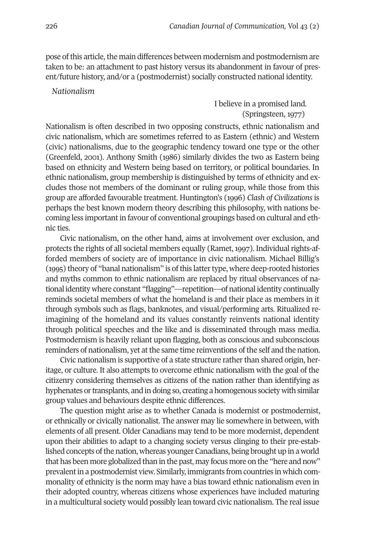pose of this article, the main differences between modernism and postmodernism are taken to be: an attachment to past history versus its abandonment in favour of present/future history, and/or a (postmodernist) socially constructed national identity.

*Nationalism*

I believe in a promised land. (Springsteen, 1977)

Nationalism is often described in two opposing constructs, ethnic nationalism and civic nationalism, which are sometimes referred to as Eastern (ethnic) and Western (civic) nationalisms, due to the geographic tendency toward one type or the other (Greenfeld, 2001). Anthony Smith (1986) similarly divides the two as Eastern being based on ethnicity and Western being based on territory, or political boundaries. In ethnic nationalism, group membership is distinguished by terms of ethnicity and excludes those not members of the dominant or ruling group, while those from this group are afforded favourable treatment. Huntington's (1996) *Clash of Civilizations* is perhaps the best known modern theory describing this philosophy, with nations becoming less important in favour of conventional groupings based on cultural and ethnic ties.

Civic nationalism, on the other hand, aims at involvement over exclusion, and protects the rights of all societal members equally (Ramet, 1997). Individualrights-afforded members of society are of importance in civic nationalism. Michael Billig's (1995) theory of "banal nationalism" is ofthis lattertype, where deep-rooted histories and myths common to ethnic nationalism are replaced by ritual observances of national identity where constant "flagging"—repetition—of national identity continually reminds societal members of what the homeland is and their place as members in it through symbols such as flags, banknotes, and visual/performing arts. Ritualized reimagining of the homeland and its values constantly reinvents national identity through political speeches and the like and is disseminated through mass media. Postmodernism is heavily reliant upon flagging, both as conscious and subconscious reminders of nationalism, yet at the same time reinventions of the self and the nation.

Civic nationalism is supportive of a state structure rather than shared origin, heritage, or culture. It also attempts to overcome ethnic nationalism with the goal of the citizenry considering themselves as citizens of the nation rather than identifying as hyphenates ortransplants, and in doing so, creating a homogenous society with similar group values and behaviours despite ethnic differences.

The question might arise as to whether Canada is modernist or postmodernist, or ethnically or civically nationalist. The answer may lie somewhere in between, with elements of all present. Older Canadians may tend to be more modernist, dependent upon their abilities to adapt to a changing society versus clinging to their pre-established concepts ofthe nation, whereas younger Canadians, being brought up in a world that has been more globalized than in the past, may focus more on the "here and now" prevalentin a postmodernist view. Similarly, immigrants from countries in which commonality of ethnicity is the norm may have a bias toward ethnic nationalism even in their adopted country, whereas citizens whose experiences have included maturing in a multicultural society would possibly lean toward civic nationalism. The real issue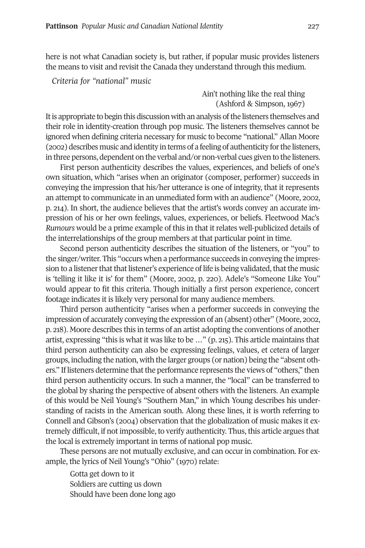here is not what Canadian society is, but rather, if popular music provides listeners the means to visit and revisit the Canada they understand through this medium.

*Criteria for "national" music*

Ain't nothing like the real thing (Ashford & Simpson, 1967)

It is appropriate to begin this discussion with an analysis of the listeners themselves and their role in identity-creation through pop music. The listeners themselves cannot be ignored when defining criteria necessary for music to become "national." Allan Moore (2002) describes music and identity in terms of a feeling of authenticity forthe listeners, in three persons, dependent on the verbal and/or non-verbal cues given to the listeners.

First person authenticity describes the values, experiences, and beliefs of one's own situation, which "arises when an originator (composer, performer) succeeds in conveying the impression that his/her utterance is one of integrity, that it represents an attempt to communicate in an unmediated form with an audience" (Moore, 2002, p. 214). In short, the audience believes that the artist's words convey an accurate impression of his or her own feelings, values, experiences, or beliefs. Fleetwood Mac's *Rumours* would be a prime example of this in that it relates well-publicized details of the interrelationships of the group members at that particular point in time.

Second person authenticity describes the situation of the listeners, or "you" to the singer/writer. This "occurs when a performance succeeds in conveying the impression to a listener that that listener's experience of life is being validated, that the music is 'telling it like it is' for them" (Moore, 2002, p. 220). Adele's "Someone Like You" would appear to fit this criteria. Though initially a first person experience, concert footage indicates it is likely very personal for many audience members.

Third person authenticity "arises when a performer succeeds in conveying the impression of accurately conveying the expression of an (absent) other" (Moore, 2002, p. 218). Moore describes this in terms of an artist adopting the conventions of another artist, expressing "this is what it was like to be …" (p. 215). This article maintains that third person authenticity can also be expressing feelings, values, et cetera of larger groups, including the nation, with the larger groups (or nation) being the "absent others." If listeners determine that the performance represents the views of "others," then third person authenticity occurs. In such a manner, the "local" can be transferred to the global by sharing the perspective of absent others with the listeners. An example of this would be Neil Young's "Southern Man," in which Young describes his understanding of racists in the American south. Along these lines, it is worth referring to Connell and Gibson's (2004) observation that the globalization of music makes it extremely difficult, if not impossible, to verify authenticity. Thus, this article argues that the local is extremely important in terms of national pop music.

These persons are not mutually exclusive, and can occur in combination. For example, the lyrics of Neil Young's "Ohio" (1970) relate:

Gotta get down to it Soldiers are cutting us down Should have been done long ago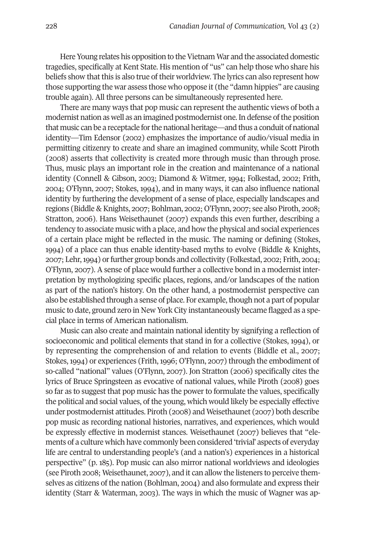Here Young relates his opposition to the Vietnam War and the associated domestic tragedies, specifically at Kent State. His mention of "us" can help those who share his beliefs show that this is also true of their worldview. The lyrics can also represent how those supporting the war assess those who oppose it (the "damn hippies" are causing trouble again). All three persons can be simultaneously represented here.

There are many ways that pop music can represent the authentic views of both a modernist nation as well as an imagined postmodernist one. In defense of the position that music can be a receptacle forthe national heritage—and thus a conduit of national identity—Tim Edensor (2002) emphasizes the importance of audio/visual media in permitting citizenry to create and share an imagined community, while Scott Piroth (2008) asserts that collectivity is created more through music than through prose. Thus, music plays an important role in the creation and maintenance of a national identity (Connell & Gibson, 2003; Diamond & Witmer, 1994; Folkestad, 2002; Frith, 2004; O'Flynn, 2007; Stokes, 1994), and in many ways, it can also influence national identity by furthering the development of a sense of place, especially landscapes and regions (Biddle & Knights, 2007; Bohlman, 2002; O'Flynn, 2007; see also Piroth, 2008; Stratton, 2006). Hans Weisethaunet (2007) expands this even further, describing a tendency to associate music with a place, and how the physical and social experiences of a certain place might be reflected in the music. The naming or defining (Stokes, 1994) of a place can thus enable identity-based myths to evolve (Biddle & Knights, 2007; Lehr,1994) orfurther group bonds and collectivity (Folkestad, 2002; Frith, 2004; O'Flynn, 2007). A sense of place would further a collective bond in a modernist interpretation by mythologizing specific places, regions, and/or landscapes of the nation as part of the nation's history. On the other hand, a postmodernist perspective can also be established through a sense of place. For example, though not a part of popular music to date, ground zero in New York City instantaneously became flagged as a special place in terms of American nationalism.

Music can also create and maintain national identity by signifying a reflection of socioeconomic and political elements that stand in for a collective (Stokes, 1994), or by representing the comprehension of and relation to events (Biddle et al., 2007; Stokes, 1994) or experiences (Frith, 1996; O'Flynn, 2007) through the embodiment of so-called "national" values (O'Flynn, 2007). Jon Stratton (2006) specifically cites the lyrics of Bruce Springsteen as evocative of national values, while Piroth (2008) goes so far as to suggest that pop music has the power to formulate the values, specifically the political and social values, of the young, which would likely be especially effective under postmodernist attitudes. Piroth (2008) and Weisethaunet (2007) both describe pop music as recording national histories, narratives, and experiences, which would be expressly effective in modernist stances. Weisethaunet (2007) believes that "elements of a culture which have commonly been considered 'trivial' aspects of everyday life are central to understanding people's (and a nation's) experiences in a historical perspective" (p. 185). Pop music can also mirror national worldviews and ideologies (see Piroth 2008; Weisethaunet, 2007), and it can allow the listeners to perceive themselves as citizens of the nation (Bohlman, 2004) and also formulate and express their identity (Starr & Waterman, 2003). The ways in which the music of Wagner was ap-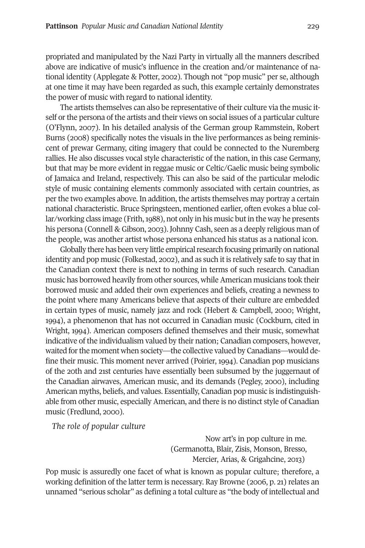propriated and manipulated by the Nazi Party in virtually all the manners described above are indicative of music's influence in the creation and/or maintenance of national identity (Applegate & Potter, 2002). Though not "pop music" per se, although at one time it may have been regarded as such, this example certainly demonstrates the power of music with regard to national identity.

The artists themselves can also be representative of their culture via the music itself orthe persona of the artists and their views on social issues of a particular culture (O'Flynn, 2007). In his detailed analysis of the German group Rammstein, Robert Burns (2008) specifically notes the visuals in the live performances as being reminiscent of prewar Germany, citing imagery that could be connected to the Nuremberg rallies. He also discusses vocal style characteristic of the nation, in this case Germany, but that may be more evident in reggae music or Celtic/Gaelic music being symbolic of Jamaica and Ireland, respectively. This can also be said of the particular melodic style of music containing elements commonly associated with certain countries, as perthe two examples above. In addition, the artists themselves may portray a certain national characteristic. Bruce Springsteen, mentioned earlier, often evokes a blue collar/working class image (Frith, 1988), not only in his music but in the way he presents his persona (Connell & Gibson, 2003). Johnny Cash, seen as a deeply religious man of the people, was another artist whose persona enhanced his status as a national icon.

Globally there has been very little empirical research focusing primarily on national identity and pop music (Folkestad, 2002), and as such it is relatively safe to say that in the Canadian context there is next to nothing in terms of such research. Canadian music has borrowed heavily from other sources, while American musicians took their borrowed music and added their own experiences and beliefs, creating a newness to the point where many Americans believe that aspects of their culture are embedded in certain types of music, namely jazz and rock (Hebert & Campbell, 2000; Wright, 1994), a phenomenon that has not occurred in Canadian music (Cockburn, cited in Wright, 1994). American composers defined themselves and their music, somewhat indicative of the individualism valued by their nation; Canadian composers, however, waited for the moment when society—the collective valued by Canadians—would define their music. This moment never arrived (Poirier, 1994). Canadian pop musicians of the 20th and 21st centuries have essentially been subsumed by the juggernaut of the Canadian airwaves, American music, and its demands (Pegley, 2000), including American myths, beliefs, and values. Essentially, Canadian pop music is indistinguishable from other music, especially American, and there is no distinct style of Canadian music (Fredlund, 2000).

*The role of popular culture*

Now art's in pop culture in me. (Germanotta, Blair, Zisis, Monson, Bresso, Mercier, Arias, & Grigahcine, 2013)

Pop music is assuredly one facet of what is known as popular culture; therefore, a working definition of the latter term is necessary. Ray Browne (2006, p. 21) relates an unnamed "serious scholar" as defining a total culture as "the body of intellectual and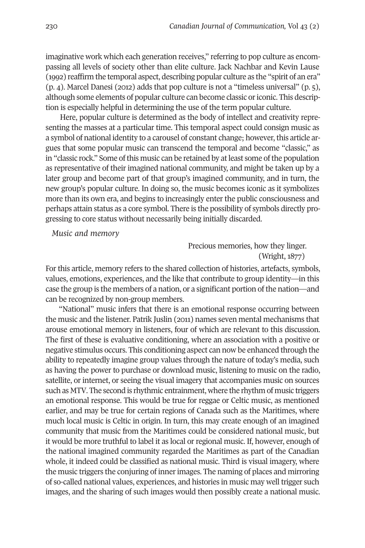imaginative work which each generation receives," referring to pop culture as encompassing all levels of society other than elite culture. Jack Nachbar and Kevin Lause (1992) reaffirm the temporal aspect, describing popular culture as the "spirit of an era" (p. 4). Marcel Danesi (2012) adds that pop culture is not a "timeless universal" (p. 5), although some elements of popular culture can become classic oriconic. This description is especially helpful in determining the use of the term popular culture.

Here, popular culture is determined as the body of intellect and creativity representing the masses at a particular time. This temporal aspect could consign music as a symbol of national identity to a carousel of constant change; however, this article argues that some popular music can transcend the temporal and become "classic," as in "classic rock." Some of this music can be retained by at least some of the population as representative of their imagined national community, and might be taken up by a later group and become part of that group's imagined community, and in turn, the new group's popular culture. In doing so, the music becomes iconic as it symbolizes more than its own era, and begins to increasingly enter the public consciousness and perhaps attain status as a core symbol. There is the possibility of symbols directly progressing to core status without necessarily being initially discarded.

*Music and memory*

Precious memories, how they linger. (Wright, 1877)

For this article, memory refers to the shared collection of histories, artefacts, symbols, values, emotions, experiences, and the like that contribute to group identity—in this case the group is the members of a nation, or a significant portion of the nation—and can be recognized by non-group members.

"National" music infers that there is an emotional response occurring between the music and the listener. Patrik Juslin (2011) names seven mental mechanisms that arouse emotional memory in listeners, four of which are relevant to this discussion. The first of these is evaluative conditioning, where an association with a positive or negative stimulus occurs. This conditioning aspect can now be enhanced through the ability to repeatedly imagine group values through the nature of today's media, such as having the power to purchase or download music, listening to music on the radio, satellite, or internet, or seeing the visual imagery that accompanies music on sources such as MTV. The second is rhythmic entrainment, where the rhythm of music triggers an emotional response. This would be true for reggae or Celtic music, as mentioned earlier, and may be true for certain regions of Canada such as the Maritimes, where much local music is Celtic in origin. In turn, this may create enough of an imagined community that music from the Maritimes could be considered national music, but it would be more truthful to label it as local or regional music. If, however, enough of the national imagined community regarded the Maritimes as part of the Canadian whole, it indeed could be classified as national music. Third is visual imagery, where the music triggers the conjuring of innerimages. The naming of places and mirroring of so-called national values, experiences, and histories in music may well trigger such images, and the sharing of such images would then possibly create a national music.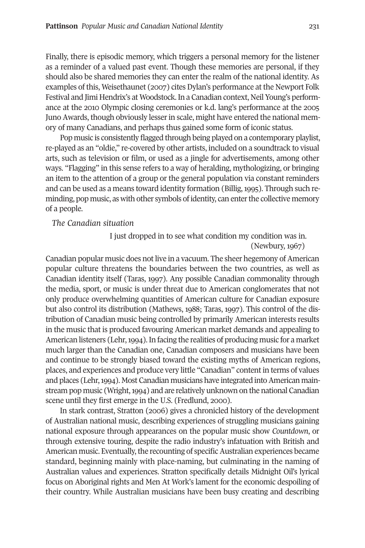Finally, there is episodic memory, which triggers a personal memory for the listener as a reminder of a valued past event. Though these memories are personal, if they should also be shared memories they can enter the realm of the national identity. As examples of this, Weisethaunet (2007) cites Dylan's performance at the Newport Folk Festival and Jimi Hendrix's at Woodstock. In a Canadian context, Neil Young's performance at the 2010 Olympic closing ceremonies or k.d. lang's performance at the 2005 Juno Awards, though obviously lesserin scale, might have entered the national memory of many Canadians, and perhaps thus gained some form of iconic status.

Pop music is consistently flagged through being played on a contemporary playlist, re-played as an "oldie," re-covered by other artists, included on a soundtrack to visual arts, such as television or film, or used as a jingle for advertisements, among other ways. "Flagging" in this sense refers to a way of heralding, mythologizing, or bringing an item to the attention of a group or the general population via constant reminders and can be used as a means toward identity formation (Billig, 1995). Through such reminding, pop music, as with other symbols of identity, can enter the collective memory of a people.

#### *The Canadian situation*

I just dropped in to see what condition my condition was in. (Newbury, 1967)

Canadian popular music does not live in a vacuum. The sheer hegemony of American popular culture threatens the boundaries between the two countries, as well as Canadian identity itself (Taras, 1997). Any possible Canadian commonality through the media, sport, or music is under threat due to American conglomerates that not only produce overwhelming quantities of American culture for Canadian exposure but also control its distribution (Mathews, 1988; Taras, 1997). This control of the distribution of Canadian music being controlled by primarily American interests results in the music that is produced favouring American market demands and appealing to American listeners (Lehr, 1994). In facing the realities of producing music for a market much larger than the Canadian one, Canadian composers and musicians have been and continue to be strongly biased toward the existing myths of American regions, places, and experiences and produce very little "Canadian" contentin terms of values and places (Lehr, 1994). Most Canadian musicians have integrated into American mainstream pop music (Wright, 1994) and are relatively unknown on the national Canadian scene until they first emerge in the U.S. (Fredlund, 2000).

In stark contrast, Stratton (2006) gives a chronicled history of the development of Australian national music, describing experiences of struggling musicians gaining national exposure through appearances on the popular music show *Countdown*, or through extensive touring, despite the radio industry's infatuation with British and American music. Eventually, the recounting of specific Australian experiences became standard, beginning mainly with place-naming, but culminating in the naming of Australian values and experiences. Stratton specifically details Midnight Oil's lyrical focus on Aboriginal rights and Men At Work's lament for the economic despoiling of their country. While Australian musicians have been busy creating and describing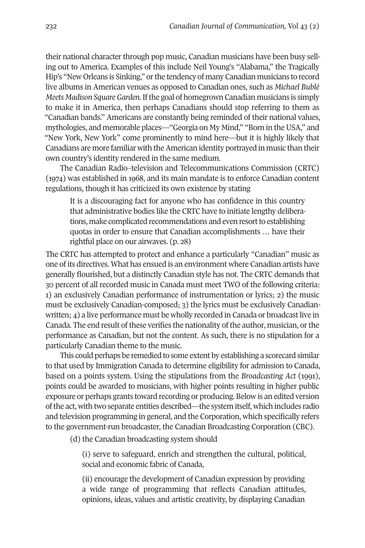their national character through pop music, Canadian musicians have been busy selling out to America. Examples of this include Neil Young's "Alabama," the Tragically Hip's "New Orleans is Sinking," orthe tendency of many Canadian musicians to record live albums in American venues as opposed to Canadian ones, such as *Michael Bublé Meets Madison SquareGarden*.Ifthe goal of homegrown Canadian musicians is simply to make it in America, then perhaps Canadians should stop referring to them as "Canadian bands." Americans are constantly being reminded of their national values, mythologies, and memorable places—"Georgia on My Mind," "Born in the USA," and "New York, New York" come prominently to mind here—but it is highly likely that Canadians are more familiar with theAmerican identity portrayed in music than their own country's identity rendered in the same medium.

The Canadian Radio–television and Telecommunications Commission (CRTC) (1974) was established in 1968, and its main mandate is to enforce Canadian content regulations, though it has criticized its own existence by stating

It is a discouraging fact for anyone who has confidence in this country that administrative bodies like the CRTC have to initiate lengthy deliberations, make complicated recommendations and even resort to establishing quotas in order to ensure that Canadian accomplishments … have their rightful place on our airwaves. (p. 28)

The CRTC has attempted to protect and enhance a particularly "Canadian" music as one of its directives. What has ensued is an environment where Canadian artists have generally flourished, but a distinctly Canadian style has not. The CRTC demands that 30 percent of all recorded music in Canada must meet TWO of the following criteria: 1) an exclusively Canadian performance of instrumentation or lyrics; 2) the music must be exclusively Canadian-composed; 3) the lyrics must be exclusively Canadianwritten; 4) a live performance must be wholly recorded in Canada or broadcast live in Canada. The end result of these verifies the nationality of the author, musician, orthe performance as Canadian, but not the content. As such, there is no stipulation for a particularly Canadian theme to the music.

This could perhaps be remedied to some extent by establishing a scorecard similar to that used by Immigration Canada to determine eligibility for admission to Canada, based on a points system. Using the stipulations from the *Broadcasting Act* (1991), points could be awarded to musicians, with higher points resulting in higher public exposure or perhaps grants toward recording or producing. Below is an edited version ofthe act, with two separate entities described—the system itself, which includes radio and television programming in general, and the Corporation, which specifically refers to the government-run broadcaster, the Canadian Broadcasting Corporation (CBC).

(d) the Canadian broadcasting system should

(i) serve to safeguard, enrich and strengthen the cultural, political, social and economic fabric of Canada,

(ii) encourage the development of Canadian expression by providing a wide range of programming that reflects Canadian attitudes, opinions, ideas, values and artistic creativity, by displaying Canadian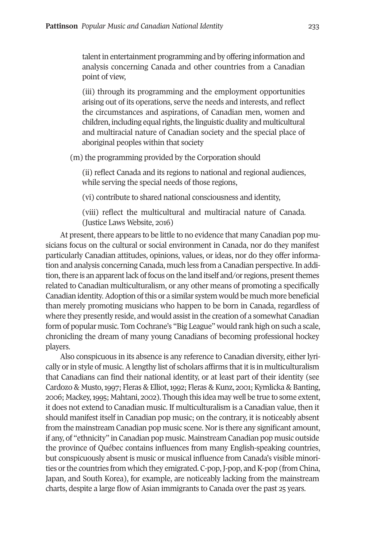talent in entertainment programming and by offering information and analysis concerning Canada and other countries from a Canadian point of view,

(iii) through its programming and the employment opportunities arising out of its operations, serve the needs and interests, and reflect the circumstances and aspirations, of Canadian men, women and children, including equal rights, the linguistic duality and multicultural and multiracial nature of Canadian society and the special place of aboriginal peoples within that society

(m) the programming provided by the Corporation should

(ii) reflect Canada and its regions to national and regional audiences, while serving the special needs of those regions,

(vi) contribute to shared national consciousness and identity,

(viii) reflect the multicultural and multiracial nature of Canada. (Justice Laws Website, 2016)

At present, there appears to be little to no evidence that many Canadian pop musicians focus on the cultural or social environment in Canada, nor do they manifest particularly Canadian attitudes, opinions, values, or ideas, nor do they offer information and analysis concerning Canada, much less from a Canadian perspective. In addition, there is an apparent lack of focus on the land itself and/or regions, present themes related to Canadian multiculturalism, or any other means of promoting a specifically Canadian identity.Adoption ofthis or a similar system would be much more beneficial than merely promoting musicians who happen to be born in Canada, regardless of where they presently reside, and would assistin the creation of a somewhat Canadian form of popular music. Tom Cochrane's "Big League" would rank high on such a scale, chronicling the dream of many young Canadians of becoming professional hockey players.

Also conspicuous in its absence is any reference to Canadian diversity, either lyrically or in style of music. A lengthy list of scholars affirms that it is in multiculturalism that Canadians can find their national identity, or at least part of their identity (see Cardozo & Musto, 1997; Fleras & Elliot, 1992; Fleras & Kunz, 2001; Kymlicka & Banting, 2006; Mackey,1995; Mahtani, 2002). Though this idea may well be true to some extent, it does not extend to Canadian music. If multiculturalism is a Canadian value, then it should manifest itself in Canadian pop music; on the contrary, it is noticeably absent from the mainstream Canadian pop music scene. Noris there any significant amount, if any, of "ethnicity" in Canadian pop music. Mainstream Canadian pop music outside the province of Québec contains influences from many English-speaking countries, but conspicuously absent is music or musical influence from Canada's visible minorities or the countries from which they emigrated. C-pop, J-pop, and K-pop (from China, Japan, and South Korea), for example, are noticeably lacking from the mainstream charts, despite a large flow of Asian immigrants to Canada over the past 25 years.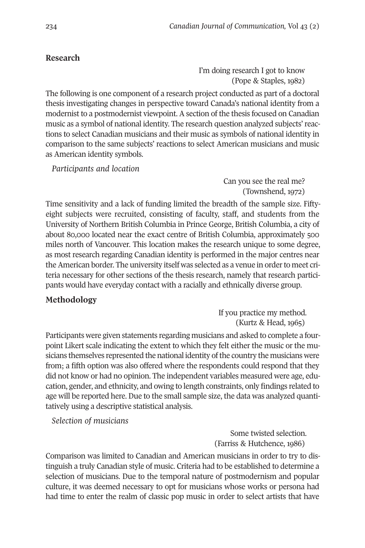# **Research**

I'm doing research I got to know (Pope & Staples, 1982)

The following is one component of a research project conducted as part of a doctoral thesis investigating changes in perspective toward Canada's national identity from a modernist to a postmodernist viewpoint. A section of the thesis focused on Canadian music as a symbol of national identity. The research question analyzed subjects' reactions to select Canadian musicians and their music as symbols of national identity in comparison to the same subjects' reactions to select American musicians and music as American identity symbols.

*Participants and location*

Can you see the real me? (Townshend, 1972)

Time sensitivity and a lack of funding limited the breadth of the sample size. Fiftyeight subjects were recruited, consisting of faculty, staff, and students from the University of Northern British Columbia in Prince George, British Columbia, a city of about 80,000 located near the exact centre of British Columbia, approximately 500 miles north of Vancouver. This location makes the research unique to some degree, as most research regarding Canadian identity is performed in the major centres near the American border. The university itself was selected as a venue in order to meet criteria necessary for other sections of the thesis research, namely that research participants would have everyday contact with a racially and ethnically diverse group.

# **Methodology**

If you practice my method. (Kurtz & Head, 1965)

Participants were given statements regarding musicians and asked to complete a fourpoint Likert scale indicating the extent to which they felt either the music or the musicians themselves represented the national identity of the country the musicians were from; a fifth option was also offered where the respondents could respond that they did not know or had no opinion. The independent variables measured were age, education, gender, and ethnicity, and owing to length constraints, only findings related to age will be reported here. Due to the small sample size, the data was analyzed quantitatively using a descriptive statistical analysis.

*Selection of musicians*

Some twisted selection. (Farriss & Hutchence, 1986)

Comparison was limited to Canadian and American musicians in order to try to distinguish a truly Canadian style of music. Criteria had to be established to determine a selection of musicians. Due to the temporal nature of postmodernism and popular culture, it was deemed necessary to opt for musicians whose works or persona had had time to enter the realm of classic pop music in order to select artists that have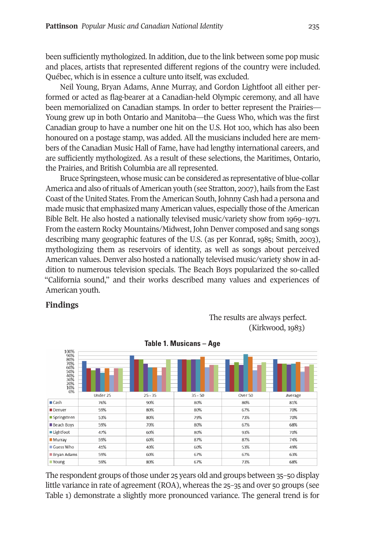been sufficiently mythologized. In addition, due to the link between some pop music and places, artists that represented different regions of the country were included. Québec, which is in essence a culture unto itself, was excluded.

Neil Young, Bryan Adams, Anne Murray, and Gordon Lightfoot all either performed or acted as flag-bearer at a Canadian-held Olympic ceremony, and all have been memorialized on Canadian stamps. In order to better represent the Prairies— Young grew up in both Ontario and Manitoba—the Guess Who, which was the first Canadian group to have a number one hit on the U.S. Hot 100, which has also been honoured on a postage stamp, was added. All the musicians included here are members of the Canadian Music Hall of Fame, have had lengthy international careers, and are sufficiently mythologized. As a result of these selections, the Maritimes, Ontario, the Prairies, and British Columbia are all represented.

Bruce Springsteen, whose music can be considered as representative of blue-collar America and also of rituals of American youth (see Stratton, 2007), hails from the East Coast of the United States. From the American South, Johnny Cash had a persona and made music that emphasized many American values, especially those of the American Bible Belt. He also hosted a nationally televised music/variety show from 1969–1971. From the eastern Rocky Mountains/Midwest, John Denver composed and sang songs describing many geographic features of the U.S. (as per Konrad, 1985; Smith, 2003), mythologizing them as reservoirs of identity, as well as songs about perceived American values. Denver also hosted a nationally televised music/variety show in addition to numerous television specials. The Beach Boys popularized the so-called "California sound," and their works described many values and experiences of American youth.

# **Findings**





**Table 1. Musicans – Age**

The respondent groups of those under 25 years old and groups between 35–50 display little variance in rate of agreement (ROA), whereas the 25–35 and over 50 groups (see Table 1) demonstrate a slightly more pronounced variance. The general trend is for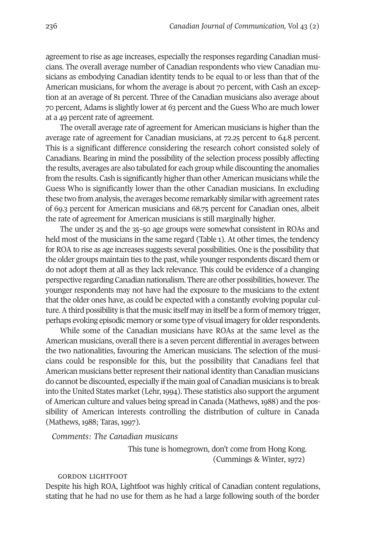agreement to rise as age increases, especially the responses regarding Canadian musicians. The overall average number of Canadian respondents who view Canadian musicians as embodying Canadian identity tends to be equal to or less than that of the American musicians, for whom the average is about 70 percent, with Cash an exception at an average of 81 percent. Three of the Canadian musicians also average about 70 percent, Adams is slightly lower at 63 percent and the Guess Who are much lower at a 49 percent rate of agreement.

The overall average rate of agreement for American musicians is higher than the average rate of agreement for Canadian musicians, at 72.25 percent to 64.8 percent. This is a significant difference considering the research cohort consisted solely of Canadians. Bearing in mind the possibility of the selection process possibly affecting the results, averages are also tabulated for each group while discounting the anomalies from the results. Cash is significantly higherthan otherAmerican musicians while the Guess Who is significantly lower than the other Canadian musicians. In excluding these two from analysis, the averages become remarkably similar with agreement rates of 69.3 percent for American musicians and 68.75 percent for Canadian ones, albeit the rate of agreement for American musicians is still marginally higher.

The under 25 and the 35–50 age groups were somewhat consistent in ROAs and held most of the musicians in the same regard (Table 1). At other times, the tendency for ROA to rise as age increases suggests several possibilities. One is the possibility that the older groups maintain ties to the past, while youngerrespondents discard them or do not adopt them at all as they lack relevance. This could be evidence of a changing perspective regardingCanadian nationalism. There are other possibilities, however. The younger respondents may not have had the exposure to the musicians to the extent that the older ones have, as could be expected with a constantly evolving popular culture. A third possibility is that the music itself may in itself be a form of memory trigger, perhaps evoking episodic memory or some type of visual imagery for older respondents.

While some of the Canadian musicians have ROAs at the same level as the American musicians, overall there is a seven percent differential in averages between the two nationalities, favouring the American musicians. The selection of the musicians could be responsible for this, but the possibility that Canadians feel that American musicians better represent their national identity than Canadian musicians do cannot be discounted, especially ifthe main goal of Canadian musicians is to break into the United States market (Lehr, 1994). These statistics also support the argument of American culture and values being spread in Canada (Mathews,1988) and the possibility of American interests controlling the distribution of culture in Canada (Mathews, 1988; Taras, 1997).

*Comments: The Canadian musicans*

This tune is homegrown, don't come from Hong Kong. (Cummings & Winter, 1972)

#### GORDON LIGHTFOOT

Despite his high ROA, Lightfoot was highly critical of Canadian content regulations, stating that he had no use for them as he had a large following south of the border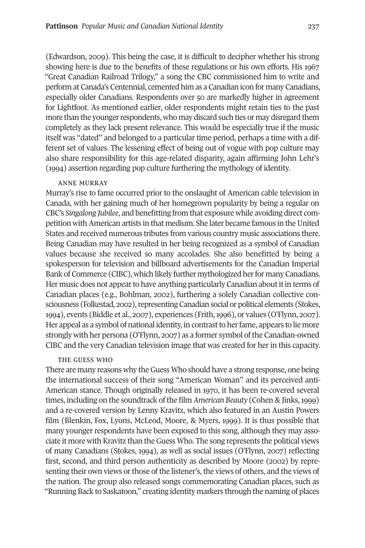(Edwardson, 2009). This being the case, it is difficult to decipher whether his strong showing here is due to the benefits of these regulations or his own efforts. His 1967 "Great Canadian Railroad Trilogy," a song the CBC commissioned him to write and perform at Canada's Centennial, cemented him as a Canadian icon for many Canadians, especially older Canadians. Respondents over 50 are markedly higher in agreement for Lightfoot. As mentioned earlier, older respondents might retain ties to the past more than the younger respondents, who may discard such ties or may disregard them completely as they lack present relevance. This would be especially true if the music itself was "dated" and belonged to a particular time period, perhaps a time with a different set of values. The lessening effect of being out of vogue with pop culture may also share responsibility for this age-related disparity, again affirming John Lehr's (1994) assertion regarding pop culture furthering the mythology of identity.

#### Anne MurrAy

Murray's rise to fame occurred prior to the onslaught of American cable television in Canada, with her gaining much of her homegrown popularity by being a regular on CBC's *Singalong Jubilee*, and benefitting from that exposure while avoiding direct competition with American artists in that medium. She later became famous in the United States and received numerous tributes from various country music associations there. Being Canadian may have resulted in her being recognized as a symbol of Canadian values because she received so many accolades. She also benefitted by being a spokesperson for television and billboard advertisements for the Canadian Imperial Bank of Commerce (CIBC), which likely further mythologized her for many Canadians. Her music does not appear to have anything particularly Canadian about it in terms of Canadian places (e.g., Bohlman, 2002), furthering a solely Canadian collective consciousness (Folkestad, 2002), representing Canadian social or political elements (Stokes, 1994), events (Biddle et al., 2007), experiences (Frith,1996), or values (O'Flynn, 2007). Her appeal as a symbol of national identity, in contrast to her fame, appears to lie more strongly with her persona (O'Flynn, 2007) as a former symbol of the Canadian-owned CIBC and the very Canadian television image that was created for her in this capacity.

#### the Guess Who

There are many reasons why the Guess Who should have a strong response, one being the international success of their song "American Woman" and its perceived anti-American stance. Though originally released in 1970, it has been re-covered several times, including on the soundtrack ofthe film *American Beauty* (Cohen & Jinks,1999) and a re-covered version by Lenny Kravitz, which also featured in an Austin Powers film (Blenkin, Fox, Lyons, McLeod, Moore, & Myers, 1999). It is thus possible that many younger respondents have been exposed to this song, although they may associate it more with Kravitz than the Guess Who. The song represents the political views of many Canadians (Stokes, 1994), as well as social issues (O'Flynn, 2007) reflecting first, second, and third person authenticity as described by Moore (2002) by representing their own views or those of the listener's, the views of others, and the views of the nation. The group also released songs commemorating Canadian places, such as "Running Back to Saskatoon," creating identity markers through the naming of places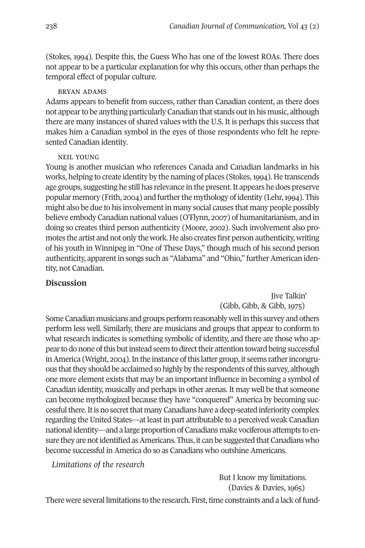(Stokes, 1994). Despite this, the Guess Who has one of the lowest ROAs. There does not appear to be a particular explanation for why this occurs, other than perhaps the temporal effect of popular culture.

# BryAn AdAMs

Adams appears to benefit from success, rather than Canadian content, as there does not appearto be anything particularly Canadian that stands outin his music, although there are many instances of shared values with the U.S. It is perhaps this success that makes him a Canadian symbol in the eyes of those respondents who felt he represented Canadian identity.

#### neiL younG

Young is another musician who references Canada and Canadian landmarks in his works, helping to create identity by the naming of places (Stokes,1994). He transcends age groups, suggesting he still has relevance in the present.It appears he does preserve popular memory (Frith, 2004) and further the mythology of identity (Lehr, 1994). This might also be due to his involvementin many social causes that many people possibly believe embody Canadian national values (O'Flynn, 2007) of humanitarianism, and in doing so creates third person authenticity (Moore, 2002). Such involvement also promotes the artist and not only the work. He also creates first person authenticity, writing of his youth in Winnipeg in "One of These Days," though much of his second person authenticity, apparent in songs such as "Alabama" and "Ohio," further American identity, not Canadian.

# **Discussion**

Jive Talkin' (Gibb, Gibb, & Gibb, 1975)

Some Canadian musicians and groups perform reasonably well in this survey and others perform less well. Similarly, there are musicians and groups that appear to conform to what research indicates is something symbolic of identity, and there are those who appear to do none of this but instead seem to direct their attention toward being successful in America (Wright,  $2004$ ). In the instance of this latter group, it seems rather incongruous thatthey should be acclaimed so highly by the respondents ofthis survey, although one more element exists that may be an important influence in becoming a symbol of Canadian identity, musically and perhaps in other arenas. It may well be that someone can become mythologized because they have "conquered" America by becoming successful there. It is no secret that many Canadians have a deep-seated inferiority complex regarding the United States—at least in part attributable to a perceived weak Canadian national identity—and a large proportionofCanadians make vociferous attempts to ensure they are not identified as Americans. Thus, it can be suggested that Canadians who become successful in America do so as Canadians who outshine Americans.

*Limitations of the research*

But I know my limitations. (Davies & Davies, 1965)

There were several limitations to the research. First, time constraints and a lack of fund-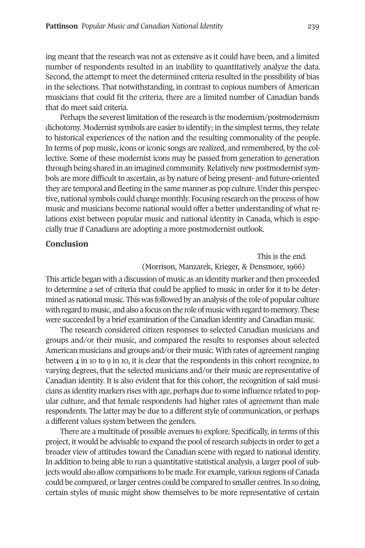ing meant that the research was not as extensive as it could have been, and a limited number of respondents resulted in an inability to quantitatively analyze the data. Second, the attempt to meet the determined criteria resulted in the possibility of bias in the selections. That notwithstanding, in contrast to copious numbers of American musicians that could fit the criteria, there are a limited number of Canadian bands that do meet said criteria.

Perhaps the severest limitation of the research is the modernism/postmodernism dichotomy. Modernist symbols are easier to identify; in the simplest terms, they relate to historical experiences of the nation and the resulting commonality of the people. In terms of pop music, icons oriconic songs are realized, and remembered, by the collective. Some of these modernist icons may be passed from generation to generation through being shared in an imagined community. Relatively new postmodernist symbols are more difficult to ascertain, as by nature of being present- and future-oriented they are temporal and fleeting in the same manner as pop culture. Under this perspective, national symbols could change monthly. Focusing research on the process of how music and musicians become national would offer a better understanding of what relations exist between popular music and national identity in Canada, which is especially true if Canadians are adopting a more postmodernist outlook.

# **Conclusion**

This is the end.

#### (Morrison, Manzarek, Krieger, & Densmore, 1966)

This article began with a discussion of music as an identity marker and then proceeded to determine a set of criteria that could be applied to music in order for it to be determined as national music. This was followed by an analysis of the role of popular culture with regard to music, and also a focus on the role of music with regard to memory. These were succeeded by a brief examination of the Canadian identity and Canadian music.

The research considered citizen responses to selected Canadian musicians and groups and/or their music, and compared the results to responses about selected American musicians and groups and/or their music. With rates of agreement ranging between 4 in 10 to 9 in 10, it is clear that the respondents in this cohort recognize, to varying degrees, that the selected musicians and/or their music are representative of Canadian identity. It is also evident that for this cohort, the recognition of said musicians as identity markers rises with age, perhaps due to some influence related to popular culture, and that female respondents had higher rates of agreement than male respondents. The latter may be due to a different style of communication, or perhaps a different values system between the genders.

There are a multitude of possible avenues to explore. Specifically, in terms of this project, it would be advisable to expand the pool ofresearch subjects in orderto get a broader view of attitudes toward the Canadian scene with regard to national identity. In addition to being able to run a quantitative statistical analysis, a larger pool of subjects would also allow comparisons to be made. For example, various regions of Canada could be compared, or larger centres could be compared to smaller centres. In so doing, certain styles of music might show themselves to be more representative of certain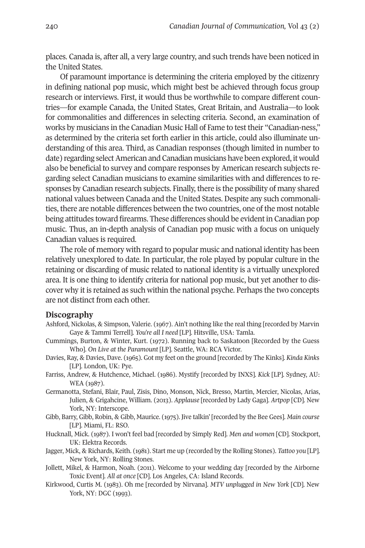places. Canada is, after all, a very large country, and such trends have been noticed in the United States.

Of paramount importance is determining the criteria employed by the citizenry in defining national pop music, which might best be achieved through focus group research or interviews. First, it would thus be worthwhile to compare different countries—for example Canada, the United States, Great Britain, and Australia—to look for commonalities and differences in selecting criteria. Second, an examination of works by musicians in the Canadian Music Hall of Fame to test their "Canadian-ness," as determined by the criteria set forth earlier in this article, could also illuminate understanding of this area. Third, as Canadian responses (though limited in number to date) regarding select American and Canadian musicians have been explored, it would also be beneficial to survey and compare responses by American research subjects regarding select Canadian musicians to examine similarities with and differences to responses by Canadian research subjects. Finally, there is the possibility of many shared national values between Canada and the United States. Despite any such commonalities, there are notable differences between the two countries, one of the most notable being attitudes toward firearms. These differences should be evident in Canadian pop music. Thus, an in-depth analysis of Canadian pop music with a focus on uniquely Canadian values is required.

The role of memory with regard to popular music and national identity has been relatively unexplored to date. In particular, the role played by popular culture in the retaining or discarding of music related to national identity is a virtually unexplored area. It is one thing to identify criteria for national pop music, but yet another to discover why it is retained as such within the national psyche. Perhaps the two concepts are not distinct from each other.

#### **Discography**

- Ashford, Nickolas, & Simpson, Valerie. (1967). Ain't nothing like the real thing [recorded by Marvin Gaye & Tammi Terrell]. *You're all I need* [LP]. Hitsville, USA: Tamla.
- Cummings, Burton, & Winter, Kurt. (1972). Running back to Saskatoon [Recorded by the Guess Who]. *On Live at the Paramount* [LP]. Seattle, WA: RCA Victor.
- Davies, Ray, & Davies, Dave. (1965). Got my feet on the ground [recorded by The Kinks]. *Kinda Kink*s [LP]. London, UK: Pye.
- Farriss, Andrew, & Hutchence, Michael. (1986). Mystify [recorded by INXS]. *Kick* [LP]. Sydney, AU: WEA (1987).
- Germanotta, Stefani, Blair, Paul, Zisis, Dino, Monson, Nick, Bresso, Martin, Mercier, Nicolas, Arias, Julien, & Grigahcine, William. (2013). *Applause* [recorded by Lady Gaga]. *Artpop* [CD]. New York, NY: Interscope.
- Gibb, Barry, Gibb, Robin, & Gibb, Maurice. (1975). Jive talkin' [recorded by the Bee Gees]. *Main course* [LP]. Miami, FL: RSO.
- Hucknall, Mick. (1987). I won't feel bad [recorded by Simply Red]. *Men and women* [CD]. Stockport, UK: Elektra Records.
- Jagger, Mick, & Richards, Keith. (1981). Start me up (recorded by the Rolling Stones). *Tattoo you* [LP]. New York, NY: Rolling Stones.
- Jollett, Mikel, & Harmon, Noah. (2011). Welcome to your wedding day [recorded by the Airborne Toxic Event]. *All at once* [CD]. Los Angeles, CA: Island Records.
- Kirkwood, Curtis M. (1983). Oh me [recorded by Nirvana]. *MTV unplugged in New York* [CD]. New York, NY: DGC (1993).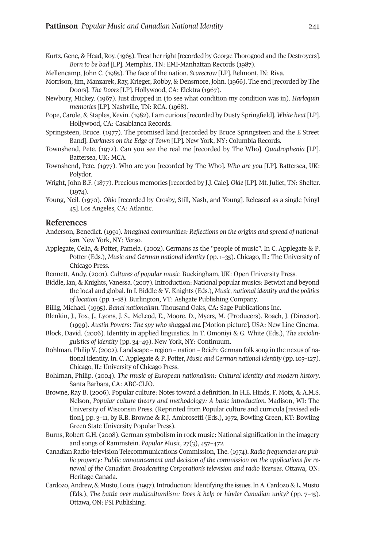Kurtz, Gene, & Head, Roy. (1965). Treat herright [recorded by George Thorogood and the Destroyers]. *Born to be bad* [LP]. Memphis, TN: EMI-Manhattan Records (1987).

Mellencamp, John C. (1985). The face of the nation. *Scarecrow* [LP]. Belmont, IN: Riva.

- Morrison, Jim, Manzarek, Ray, Krieger, Robby, & Densmore, John. (1966). The end [recorded by The Doors]. *The Doors* [LP]. Hollywood, CA: Elektra (1967).
- Newbury, Mickey. (1967). Just dropped in (to see what condition my condition was in). *Harlequin memories* [LP]. Nashville, TN: RCA. (1968).
- Pope, Carole, & Staples, Kevin. (1982). I am curious [recorded by Dusty Springfield]. *White heat* [LP]. Hollywood, CA: Casablanca Records.
- Springsteen, Bruce. (1977). The promised land [recorded by Bruce Springsteen and the E Street Band]. *Darkness on the Edge of Town* [LP]. New York, NY: Columbia Records.
- Townshend, Pete. (1972). Can you see the real me [recorded by The Who]. *Quadrophenia* [LP]. Battersea, UK: MCA.
- Townshend, Pete. (1977). Who are you [recorded by The Who]. *Who are you* [LP]. Battersea, UK: Polydor.
- Wright, John B.F. (1877). Precious memories [recorded by J.J. Cale]. *Okie* [LP]. Mt. Juliet, TN: Shelter.  $(1974).$
- Young, Neil. (1970). *Ohio* [recorded by Crosby, Still, Nash, and Young]. Released as a single [vinyl 45]. Los Angeles, CA: Atlantic.

#### **References**

- Anderson, Benedict. (1991). *Imagined communities: Reflections on the origins and spread of nationalism.* New York, NY: Verso.
- Applegate, Celia, & Potter, Pamela. (2002). Germans as the "people of music". In C. Applegate & P. Potter (Eds.), *Music and German national identity* (pp. 1–35). Chicago, IL: The University of Chicago Press.
- Bennett, Andy. (2001). *Cultures of popular music.* Buckingham, UK: Open University Press.
- Biddle, Ian, & Knights, Vanessa. (2007). Introduction: National popular musics: Betwixt and beyond the local and global. In I. Biddle & V. Knights (Eds.), *Music, national identity and the politics of location* (pp. 1–18). Burlington, VT: Ashgate Publishing Company.
- Billig, Michael. (1995). *Banal nationalism.* Thousand Oaks, CA: Sage Publications Inc.
- Blenkin, J., Fox, J., Lyons, J. S., McLeod, E., Moore, D., Myers, M. (Producers). Roach, J. (Director). (1999). *Austin Powers: The spy who shagged me.* [Motion picture]. USA: New Line Cinema.
- Block, David. (2006). Identity in applied linguistics. In T. Omoniyi & G. White (Eds.), *The sociolinguistics of identity* (pp. 34–49). New York, NY: Continuum.
- Bohlman, Philip V. (2002). Landscape region nation Reich: German folk song in the nexus of national identity. In. C. Applegate & P. Potter, *Music and German national identity* (pp. 105–127). Chicago, IL: University of Chicago Press.
- Bohlman, Philip. (2004). *The music of European nationalism: Cultural identity and modern history*. Santa Barbara, CA: ABC-CLIO.
- Browne, Ray B. (2006). Popular culture: Notes toward a definition. In H.E. Hinds, F. Motz, & A.M.S. Nelson, *Popular culture theory and methodology: A basic introduction.* Madison, WI: The University of Wisconsin Press. (Reprinted from Popular culture and curricula [revised edition], pp. 3–11, by R.B. Browne & R.J. Ambrosetti (Eds.), 1972, Bowling Green, KT: Bowling Green State University Popular Press).
- Burns, Robert G.H. (2008). German symbolism in rock music: National signification in the imagery and songs of Rammstein. *Popular Music, 27*(3), 457–472.
- Canadian Radio-television Telecommunications Commission, The. (1974). *Radio frequencies are public property: Public announcement and decision of the commission on the applications for renewal of the Canadian Broadcasting Corporation's television and radio licenses*. Ottawa, ON: Heritage Canada.
- Cardozo, Andrew, & Musto, Louis. (1997). Introduction: Identifying the issues. In A. Cardozo & L. Musto (Eds.), *The battle over multiculturalism: Does it help or hinder Canadian unity?* (pp. 7–15). Ottawa, ON: PSI Publishing.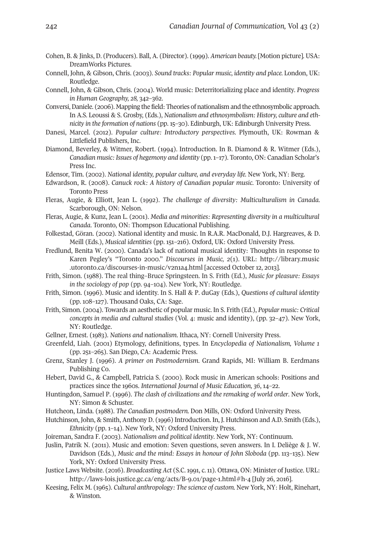- Cohen, B. & Jinks, D. (Producers). Ball, A. (Director). (1999). *American beauty.* [Motion picture]. USA: DreamWorks Pictures.
- Connell, John, & Gibson, Chris. (2003). *Sound tracks: Popular music, identity and place.* London, UK: Routledge.
- Connell, John, & Gibson, Chris. (2004). World music: Deterritorializing place and identity. *Progress in Human Geography, 28,* 342–362.
- Conversi,Daniele. (2006). Mapping the field: Theories of nationalism and the ethnosymbolic approach. In A.S. Leoussi & S. Grosby, (Eds.), *Nationalism and ethnosymbolism: History, culture and ethnicity in the formation of nations* (pp. 15–30). Edinburgh, UK: Edinburgh University Press.
- Danesi, Marcel. (2012). *Popular culture: Introductory perspectives.* Plymouth, UK: Rowman & Littlefield Publishers, Inc.
- Diamond, Beverley, & Witmer, Robert. (1994). Introduction. In B. Diamond & R. Witmer (Eds.), *Canadian music: Issues of hegemony and identity* (pp.1–17). Toronto, ON: Canadian Scholar's Press Inc.
- Edensor, Tim. (2002). *National identity, popular culture, and everyday life.* New York, NY: Berg.
- Edwardson, R. (2008). *Canuck rock: A history of Canadian popular music.* Toronto: University of Toronto Press
- Fleras, Augie, & Elliott, Jean L. (1992). *The challenge of diversity: Multiculturalism in Canada.* Scarborough, ON: Nelson.
- Fleras, Augie, & Kunz, Jean L. (2001). *Media and minorities: Representing diversity in a multicultural Canada*. Toronto, ON: Thompson Educational Publishing.
- Folkestad, Göran. (2002). National identity and music. In R.A.R. MacDonald, D.J. Hargreaves, & D. Meill (Eds.), *Musical identities* (pp. 151–216). Oxford, UK: Oxford University Press.
- Fredlund, Benita W. (2000). Canada's lack of national musical identity: Thoughts in response to Karen Pegley's "Toronto 2000." *Discourses in Music, 2*(1). URL: [http://library.music](http://library.music.utoronto.ca/discourses-in-music/v2n1a4.html) [.utoronto.ca/discourses-in-music/v2n1a4.html](http://library.music.utoronto.ca/discourses-in-music/v2n1a4.html) [accessed October 12, 2013].
- Frith, Simon. (1988). The real thing–Bruce Springsteen. In S. Frith (Ed.), *Music for pleasure: Essays in the sociology of pop* (pp. 94–104). New York, NY: Routledge.
- Frith, Simon. (1996). Music and identity. In S. Hall & P. duGay (Eds.), *Questions of cultural identity* (pp. 108–127). Thousand Oaks, CA: Sage.
- Frith, Simon. (2004). Towards an aesthetic of popular music. In S. Frith (Ed.), *Popular music: Critical concepts in media and cultural studies* (Vol. 4: music and identity), (pp. 32–47). New York, NY: Routledge.
- Gellner, Ernest. (1983). *Nations and nationalism*. Ithaca, NY: Cornell University Press.
- Greenfeld, Liah. (2001) Etymology, definitions, types. In E*ncyclopedia of Nationalism, Volume 1* (pp. 251–265). San Diego, CA: Academic Press.
- Grenz, Stanley J. (1996). *A primer on Postmodernism.* Grand Rapids, MI: William B. Eerdmans Publishing Co.
- Hebert, David G., & Campbell, Patricia S. (2000). Rock music in American schools: Positions and practices since the 1960s. *International Journal of Music Education, 36*, 14–22.
- Huntingdon, Samuel P. (1996). *The clash of civilizations and the remaking of world order*. New York, NY: Simon & Schuster.
- Hutcheon, Linda. (1988). *The Canadian postmodern.* Don Mills, ON: Oxford University Press.

Hutchinson, John, & Smith, Anthony D. (1996) Introduction. In, J. Hutchinson and A.D. Smith (Eds.), *Ethnicity* (pp. 1–14). New York, NY: Oxford University Press.

- Joireman, Sandra F. (2003). *Nationalism and political identity*. New York, NY: Continuum.
- Juslin, Patrik N. (2011). Music and emotion: Seven questions, seven answers. In I. Deliège & J. W. Davidson (Eds.), *Music and the mind: Essays in honour of John Sloboda* (pp. 113–135). New York, NY: Oxford University Press.
- Justice Laws Website. (2016). *Broadcasting Act* (S.C.1991, c.11). Ottawa, ON: Minister of Justice. URL: <http://laws-lois.justice.gc.ca/eng/acts/B-9.01/page-1.html#h-4> [July 26, 2016].
- Keesing, Felix M. (1965). *Cultural anthropology: The science of custom.* New York, NY: Holt, Rinehart, & Winston.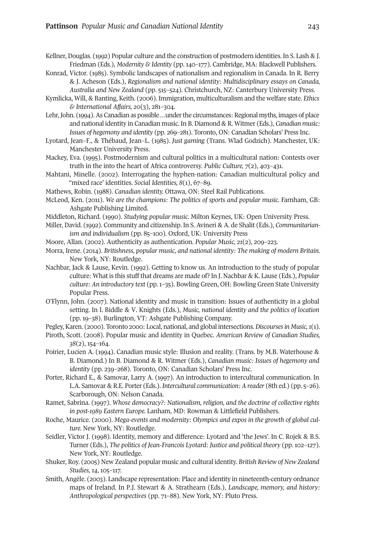- Kellner, Douglas. (1992) Popular culture and the construction of postmodern identities. In S. Lash & J. Friedman (Eds.), *Modernity & Identity* (pp. 140–177). Cambridge, MA: Blackwell Publishers.
- Konrad, Victor. (1985). Symbolic landscapes of nationalism and regionalism in Canada. In R. Berry & J. Acheson (Eds.), *Regionalism and national identity: Multidisciplinary essays on Canada, Australia and New Zealand* (pp. 515–524). Christchurch, NZ: Canterbury University Press.
- Kymlicka, Will, & Banting, Keith. (2006). Immigration, multiculturalism and the welfare state. *Ethics & International Affairs, 20*(3), 281–304.
- Lehr, John. (1994). As Canadian as possible…under the circumstances: Regional myths, images of place and national identity in Canadian music. In B. Diamond & R. Witmer (Eds.), *Canadian music: Issues of hegemony and identity* (pp. 269–281). Toronto, ON: Canadian Scholars' Press Inc.
- Lyotard, Jean–F., & Thébaud, Jean–L. (1985). *Just gaming* (Trans. Wlad Godzich). Manchester, UK: Manchester University Press.
- Mackey, Eva. (1995). Postmodernism and cultural politics in a multicultural nation: Contests over truth in the into the heart of Africa controversy. *Public Culture, 7*(2), 403–431.
- Mahtani, Minelle. (2002). Interrogating the hyphen-nation: Canadian multicultural policy and "mixed race' identities. *Social Identities, 8*(1), 67–89.
- Mathews, Robin. (1988). *Canadian identity.* Ottawa, ON: Steel Rail Publications.
- McLeod, Ken. (2011). *We are the champions: The politics of sports and popular music.* Farnham, GB: Ashgate Publishing Limited.
- Middleton, Richard. (1990). *Studying popular music.* Milton Keynes, UK: Open University Press.
- Miller, David. (1992). Community and citizenship. In S. Avineri & A. de Shalit (Eds.), *Communitarianism and individualism* (pp. 85–100). Oxford, UK: University Press
- Moore, Allan. (2002). Authenticity as authentication. *Popular Music, 21*(2), 209–223.
- Morra, Irene. (2014). *Britishness, popular music, and national identity: The making of modern Britain.* New York, NY: Routledge.
- Nachbar, Jack & Lause, Kevin. (1992). Getting to know us. An introduction to the study of popular culture: What is this stuff that dreams are made of? In J. Nachbar & K. Lause (Eds.), *Popular culture: An introductory text* (pp.1–35). Bowling Green, OH: Bowling Green State University Popular Press.
- O'Flynn, John. (2007). National identity and music in transition: Issues of authenticity in a global setting. In I. Biddle & V. Knights (Eds.), *Music, national identity and the politics of location* (pp. 19–38). Burlington, VT: Ashgate Publishing Company.
- Pegley,Karen. (2000). Toronto 2000: Local, national, and global intersections.*Discoursesin Music,1*(1).
- Piroth, Scott. (2008). Popular music and identity in Quebec. *American Review of Canadian Studies, 38*(2), 154–164.
- Poirier, Lucien A. (1994). Canadian music style: Illusion and reality. (Trans. by M.B. Waterhouse & B. Diamond.) In B. Diamond & R. Witmer (Eds.), *Canadian music: Issues of hegemony and identity* (pp. 239–268). Toronto, ON: Canadian Scholars' Press Inc.
- Porter, Richard E., & Samovar, Larry A. (1997). An introduction to intercultural communication. In L.A. Samovar & R.E. Porter (Eds.). *Intercultural communication: A reader* (8th ed.) (pp. 5–26). Scarborough, ON: Nelson Canada.
- Ramet, Sabrina. (1997). *Whose democracy?: Nationalism, religion, and the doctrine of collective rights in post-1989 Eastern Europe.* Lanham, MD: Rowman & Littlefield Publishers.
- Roche, Maurice. (2000). *Mega-events and modernity: Olympics and expos in the growth of global culture.* New York, NY: Routledge.
- Seidler, Victor J. (1998). Identity, memory and difference: Lyotard and 'the Jews'. In C. Rojek & B.S. Turner (Eds.), *The politics of Jean-Francois Lyotard: Justice and political theory* (pp. 102–127). New York, NY: Routledge.
- Shuker, Roy. (2005) New Zealand popular music and cultural identity. *British Review of New Zealand Studies, 14*, 105–117.
- Smith, Angèle. (2003). Landscape representation: Place and identity in nineteenth-century ordnance maps of Ireland. In P.J. Stewart & A. Strathearn (Eds.), *Landscape, memory, and history: Anthropological perspectives* (pp. 71–88). New York, NY: Pluto Press.